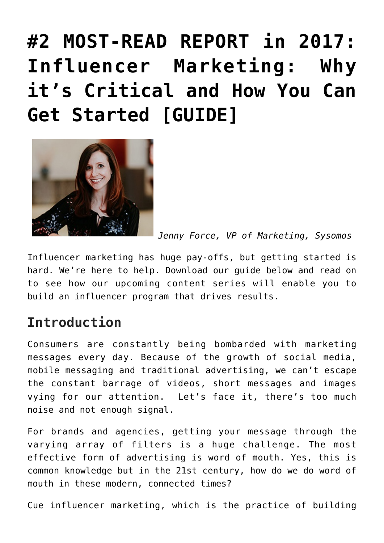# **[#2 MOST-READ REPORT in 2017:](https://www.commpro.biz/why-its-critical-and-how-you-can-get-started-guide/) [Influencer Marketing: Why](https://www.commpro.biz/why-its-critical-and-how-you-can-get-started-guide/) [it's Critical and How You Can](https://www.commpro.biz/why-its-critical-and-how-you-can-get-started-guide/) [Get Started \[GUIDE\]](https://www.commpro.biz/why-its-critical-and-how-you-can-get-started-guide/)**



*Jenny Force, VP of Marketing, [Sysomos](https://sysomos.com/)*

Influencer marketing has huge pay-offs, but getting started is hard. We're here to help. Download our guide below and read on to see how our upcoming content series will enable you to build an influencer program that drives results.

#### **Introduction**

Consumers are constantly being bombarded with marketing messages every day. Because of the growth of social media, mobile messaging and traditional advertising, we can't escape the constant barrage of videos, short messages and images vying for our attention. Let's face it, there's too much noise and not enough signal.

For brands and agencies, getting your message through the varying array of filters is a huge challenge. The most effective form of advertising is word of mouth. Yes, this is common knowledge but in the 21st century, how do we do word of mouth in these modern, connected times?

Cue influencer marketing, which is the practice of building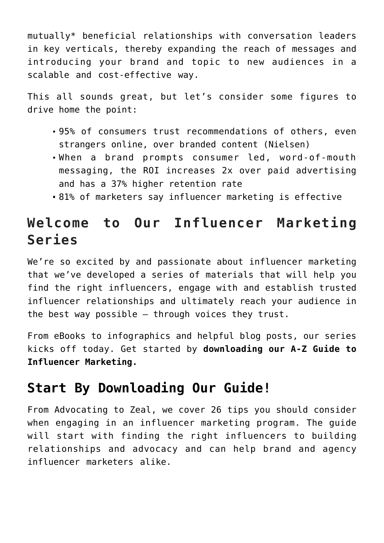mutually\* beneficial relationships with conversation leaders in key verticals, thereby expanding the reach of messages and introducing your brand and topic to new audiences in a scalable and cost-effective way.

This all sounds great, but let's consider some figures to drive home the point:

- 95% of consumers trust recommendations of others, even strangers online, over branded content (Nielsen)
- When a brand prompts consumer led, word-of-mouth messaging, the ROI increases 2x over paid advertising and has a 37% higher retention rate
- 81% of marketers say influencer marketing is effective

## **Welcome to Our Influencer Marketing Series**

We're so excited by and passionate about influencer marketing that we've developed a series of materials that will help you find the right influencers, engage with and establish trusted influencer relationships and ultimately reach your audience in the best way possible – through voices they trust.

From eBooks to infographics and helpful blog posts, our series kicks off today. Get started by **[downloading our A-Z Guide to](https://sysomos.com/2016/09/13/influencer-marketing-critical-can-get-started-guide/?utm_campaign=advertising-commpro&utm_content=advertising-commpro&utm_source=commpro&utm_medium=blog) [Influencer Marketing](https://sysomos.com/2016/09/13/influencer-marketing-critical-can-get-started-guide/?utm_campaign=advertising-commpro&utm_content=advertising-commpro&utm_source=commpro&utm_medium=blog).**

#### **[Start By Downloading Our Guide!](https://sysomos.com/2016/09/13/influencer-marketing-critical-can-get-started-guide/?utm_campaign=advertising-commpro&utm_content=advertising-commpro&utm_source=commpro&utm_medium=blog)**

From Advocating to Zeal, we cover 26 tips you should consider when engaging in an influencer marketing program. The guide will start with finding the right influencers to building relationships and advocacy and can help brand and agency influencer marketers alike.